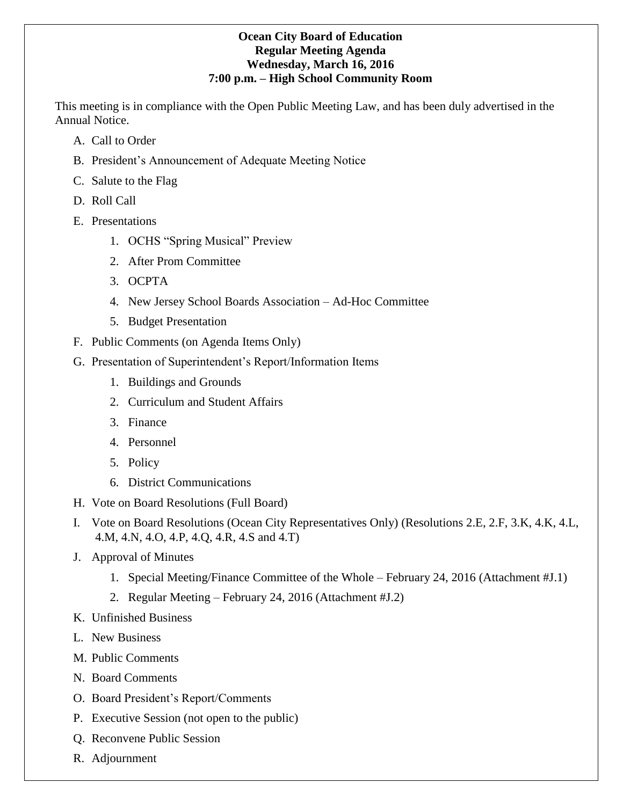# **Ocean City Board of Education Regular Meeting Agenda Wednesday, March 16, 2016 7:00 p.m. – High School Community Room**

This meeting is in compliance with the Open Public Meeting Law, and has been duly advertised in the Annual Notice.

- A. Call to Order
- B. President's Announcement of Adequate Meeting Notice
- C. Salute to the Flag
- D. Roll Call
- E. Presentations
	- 1. OCHS "Spring Musical" Preview
	- 2. After Prom Committee
	- 3. OCPTA
	- 4. New Jersey School Boards Association Ad-Hoc Committee
	- 5. Budget Presentation
- F. Public Comments (on Agenda Items Only)
- G. Presentation of Superintendent's Report/Information Items
	- 1. Buildings and Grounds
	- 2. Curriculum and Student Affairs
	- 3. Finance
	- 4. Personnel
	- 5. Policy
	- 6. District Communications
- H. Vote on Board Resolutions (Full Board)
- I. Vote on Board Resolutions (Ocean City Representatives Only) (Resolutions 2.E, 2.F, 3.K, 4.K, 4.L, 4.M, 4.N, 4.O, 4.P, 4.Q, 4.R, 4.S and 4.T)
- J. Approval of Minutes
	- 1. Special Meeting/Finance Committee of the Whole February 24, 2016 (Attachment #J.1)
	- 2. Regular Meeting February 24, 2016 (Attachment #J.2)
- K. Unfinished Business
- L. New Business
- M. Public Comments
- N. Board Comments
- O. Board President's Report/Comments
- P. Executive Session (not open to the public)
- Q. Reconvene Public Session
- R. Adjournment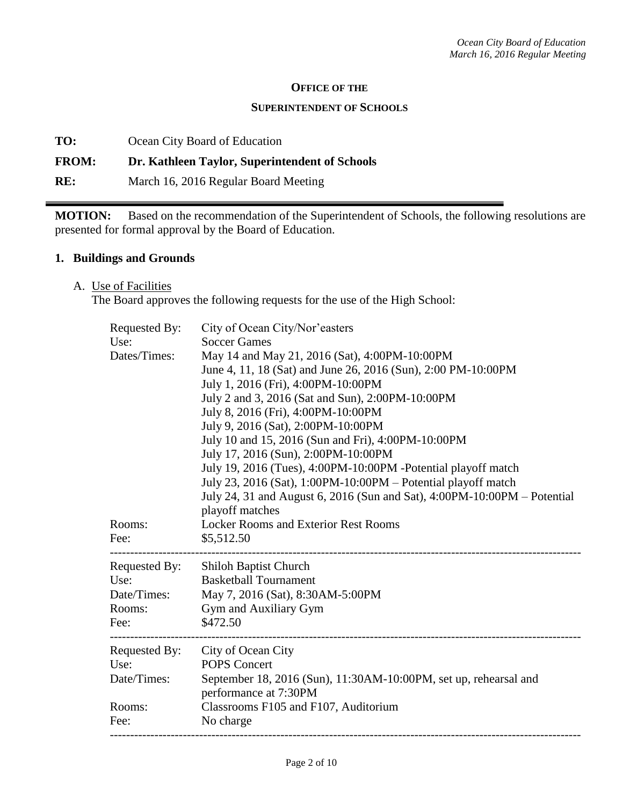#### **OFFICE OF THE**

#### **SUPERINTENDENT OF SCHOOLS**

**TO:** Ocean City Board of Education

### **FROM: Dr. Kathleen Taylor, Superintendent of Schools**

**RE:** March 16, 2016 Regular Board Meeting

**MOTION:** Based on the recommendation of the Superintendent of Schools, the following resolutions are presented for formal approval by the Board of Education.

#### **1. Buildings and Grounds**

A. Use of Facilities

The Board approves the following requests for the use of the High School:

| Requested By: | City of Ocean City/Nor'easters                                           |  |  |
|---------------|--------------------------------------------------------------------------|--|--|
| Use:          | <b>Soccer Games</b>                                                      |  |  |
| Dates/Times:  | May 14 and May 21, 2016 (Sat), 4:00PM-10:00PM                            |  |  |
|               | June 4, 11, 18 (Sat) and June 26, 2016 (Sun), 2:00 PM-10:00PM            |  |  |
|               | July 1, 2016 (Fri), 4:00PM-10:00PM                                       |  |  |
|               | July 2 and 3, 2016 (Sat and Sun), 2:00PM-10:00PM                         |  |  |
|               | July 8, 2016 (Fri), 4:00PM-10:00PM                                       |  |  |
|               | July 9, 2016 (Sat), 2:00PM-10:00PM                                       |  |  |
|               | July 10 and 15, 2016 (Sun and Fri), 4:00PM-10:00PM                       |  |  |
|               | July 17, 2016 (Sun), 2:00PM-10:00PM                                      |  |  |
|               | July 19, 2016 (Tues), 4:00PM-10:00PM -Potential playoff match            |  |  |
|               | July 23, 2016 (Sat), 1:00PM-10:00PM - Potential playoff match            |  |  |
|               | July 24, 31 and August 6, 2016 (Sun and Sat), 4:00PM-10:00PM – Potential |  |  |
|               | playoff matches                                                          |  |  |
| Rooms:        | <b>Locker Rooms and Exterior Rest Rooms</b>                              |  |  |
| Fee:          | \$5,512.50                                                               |  |  |
| Requested By: | Shiloh Baptist Church                                                    |  |  |
| Use:          | <b>Basketball Tournament</b>                                             |  |  |
| Date/Times:   | May 7, 2016 (Sat), 8:30AM-5:00PM                                         |  |  |
| Rooms:        | Gym and Auxiliary Gym                                                    |  |  |
| Fee:          | \$472.50                                                                 |  |  |
|               |                                                                          |  |  |
| Requested By: | City of Ocean City                                                       |  |  |
| Use:          | <b>POPS Concert</b>                                                      |  |  |
| Date/Times:   | September 18, 2016 (Sun), 11:30AM-10:00PM, set up, rehearsal and         |  |  |
|               | performance at 7:30PM                                                    |  |  |
| Rooms:        | Classrooms F105 and F107, Auditorium                                     |  |  |
|               |                                                                          |  |  |
| Fee:          | No charge                                                                |  |  |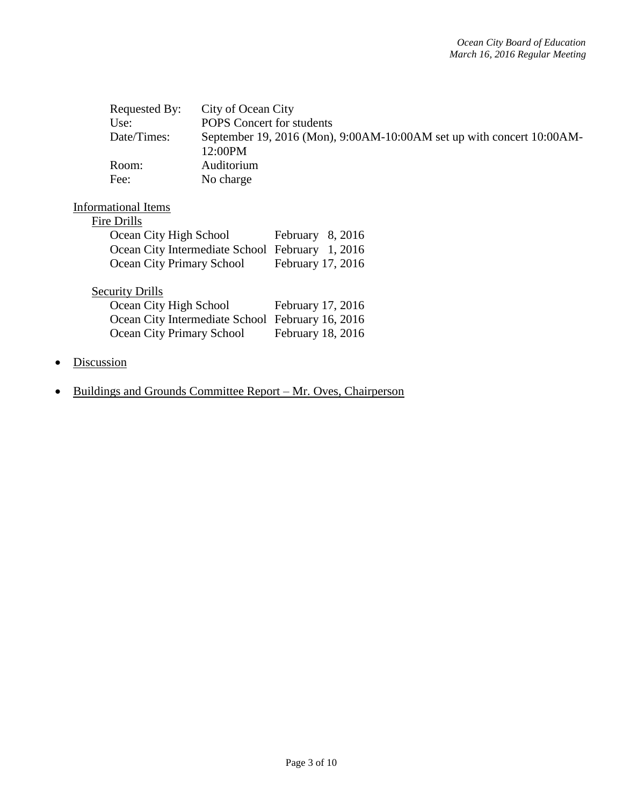| Requested By:                                    | City of Ocean City               |                                                                       |
|--------------------------------------------------|----------------------------------|-----------------------------------------------------------------------|
| Use:                                             | <b>POPS</b> Concert for students |                                                                       |
| Date/Times:                                      |                                  | September 19, 2016 (Mon), 9:00AM-10:00AM set up with concert 10:00AM- |
|                                                  | 12:00PM                          |                                                                       |
| Room:                                            | Auditorium                       |                                                                       |
| Fee:                                             | No charge                        |                                                                       |
| Informational Items<br>Fire Drills               |                                  |                                                                       |
| Ocean City High School                           |                                  | February $8,2016$                                                     |
| Ocean City Intermediate School February 1, 2016  |                                  |                                                                       |
| Ocean City Primary School                        |                                  | February 17, 2016                                                     |
| <b>Security Drills</b>                           |                                  |                                                                       |
| Ocean City High School                           |                                  | February 17, 2016                                                     |
| Ocean City Intermediate School February 16, 2016 |                                  |                                                                       |
| Ocean City Primary School                        |                                  | February 18, 2016                                                     |
|                                                  |                                  |                                                                       |

- Discussion
- Buildings and Grounds Committee Report Mr. Oves, Chairperson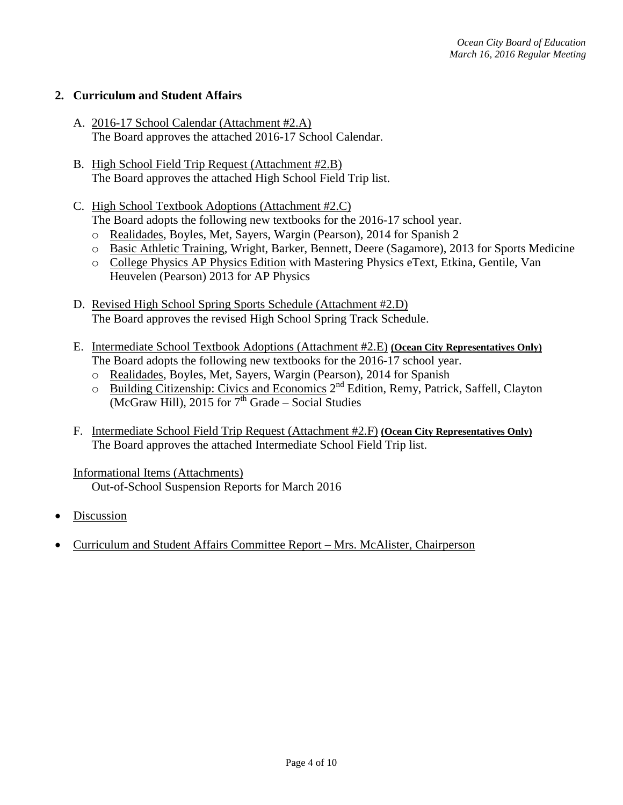# **2. Curriculum and Student Affairs**

- A. 2016-17 School Calendar (Attachment #2.A) The Board approves the attached 2016-17 School Calendar.
- B. High School Field Trip Request (Attachment #2.B) The Board approves the attached High School Field Trip list.
- C. High School Textbook Adoptions (Attachment #2.C) The Board adopts the following new textbooks for the 2016-17 school year.
	- o Realidades, Boyles, Met, Sayers, Wargin (Pearson), 2014 for Spanish 2
	- o Basic Athletic Training, Wright, Barker, Bennett, Deere (Sagamore), 2013 for Sports Medicine
	- o College Physics AP Physics Edition with Mastering Physics eText, Etkina, Gentile, Van Heuvelen (Pearson) 2013 for AP Physics
- D. Revised High School Spring Sports Schedule (Attachment #2.D) The Board approves the revised High School Spring Track Schedule.
- E. Intermediate School Textbook Adoptions (Attachment #2.E) **(Ocean City Representatives Only)** The Board adopts the following new textbooks for the 2016-17 school year.
	- o Realidades, Boyles, Met, Sayers, Wargin (Pearson), 2014 for Spanish
	- o Building Citizenship: Civics and Economics 2<sup>nd</sup> Edition, Remy, Patrick, Saffell, Clayton  $\overline{(McGraw Hill)}$ , 2015 for  $7<sup>th</sup> Grade - Social Studies$
- F. Intermediate School Field Trip Request (Attachment #2.F) **(Ocean City Representatives Only)** The Board approves the attached Intermediate School Field Trip list.

## Informational Items (Attachments)

Out-of-School Suspension Reports for March 2016

- Discussion
- Curriculum and Student Affairs Committee Report Mrs. McAlister, Chairperson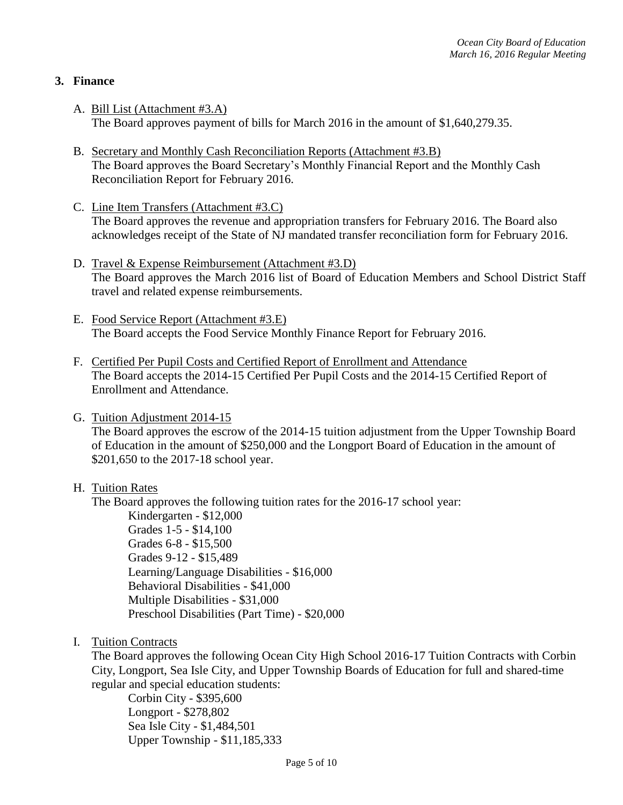# **3. Finance**

- A. Bill List (Attachment #3.A) The Board approves payment of bills for March 2016 in the amount of \$1,640,279.35.
- B. Secretary and Monthly Cash Reconciliation Reports (Attachment #3.B) The Board approves the Board Secretary's Monthly Financial Report and the Monthly Cash Reconciliation Report for February 2016.
- C. Line Item Transfers (Attachment #3.C) The Board approves the revenue and appropriation transfers for February 2016. The Board also acknowledges receipt of the State of NJ mandated transfer reconciliation form for February 2016.
- D. Travel & Expense Reimbursement (Attachment #3.D) The Board approves the March 2016 list of Board of Education Members and School District Staff travel and related expense reimbursements.
- E. Food Service Report (Attachment #3.E) The Board accepts the Food Service Monthly Finance Report for February 2016.
- F. Certified Per Pupil Costs and Certified Report of Enrollment and Attendance The Board accepts the 2014-15 Certified Per Pupil Costs and the 2014-15 Certified Report of Enrollment and Attendance.
- G. Tuition Adjustment 2014-15

The Board approves the escrow of the 2014-15 tuition adjustment from the Upper Township Board of Education in the amount of \$250,000 and the Longport Board of Education in the amount of \$201,650 to the 2017-18 school year.

## H. Tuition Rates

The Board approves the following tuition rates for the 2016-17 school year:

Kindergarten - \$12,000 Grades 1-5 - \$14,100 Grades 6-8 - \$15,500 Grades 9-12 - \$15,489 Learning/Language Disabilities - \$16,000 Behavioral Disabilities - \$41,000 Multiple Disabilities - \$31,000 Preschool Disabilities (Part Time) - \$20,000

I. Tuition Contracts

The Board approves the following Ocean City High School 2016-17 Tuition Contracts with Corbin City, Longport, Sea Isle City, and Upper Township Boards of Education for full and shared-time regular and special education students:

Corbin City - \$395,600 Longport - \$278,802 Sea Isle City - \$1,484,501 Upper Township - \$11,185,333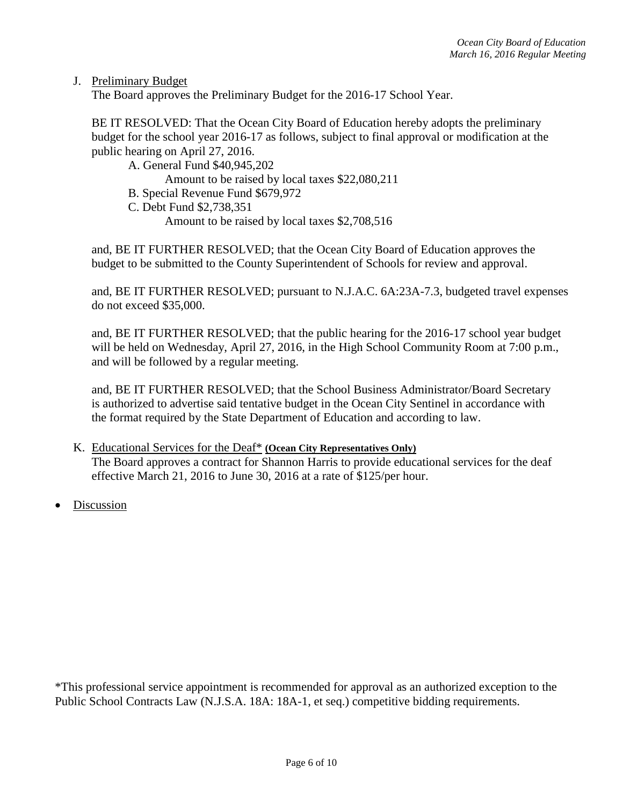J. Preliminary Budget

The Board approves the Preliminary Budget for the 2016-17 School Year.

BE IT RESOLVED: That the Ocean City Board of Education hereby adopts the preliminary budget for the school year 2016-17 as follows, subject to final approval or modification at the public hearing on April 27, 2016.

A. General Fund \$40,945,202

Amount to be raised by local taxes \$22,080,211

- B. Special Revenue Fund \$679,972
- C. Debt Fund \$2,738,351

Amount to be raised by local taxes \$2,708,516

and, BE IT FURTHER RESOLVED; that the Ocean City Board of Education approves the budget to be submitted to the County Superintendent of Schools for review and approval.

and, BE IT FURTHER RESOLVED; pursuant to N.J.A.C. 6A:23A-7.3, budgeted travel expenses do not exceed \$35,000.

and, BE IT FURTHER RESOLVED; that the public hearing for the 2016-17 school year budget will be held on Wednesday, April 27, 2016, in the High School Community Room at 7:00 p.m., and will be followed by a regular meeting.

and, BE IT FURTHER RESOLVED; that the School Business Administrator/Board Secretary is authorized to advertise said tentative budget in the Ocean City Sentinel in accordance with the format required by the State Department of Education and according to law.

- K. Educational Services for the Deaf\* **(Ocean City Representatives Only)** The Board approves a contract for Shannon Harris to provide educational services for the deaf effective March 21, 2016 to June 30, 2016 at a rate of \$125/per hour.
- Discussion

\*This professional service appointment is recommended for approval as an authorized exception to the Public School Contracts Law (N.J.S.A. 18A: 18A-1, et seq.) competitive bidding requirements.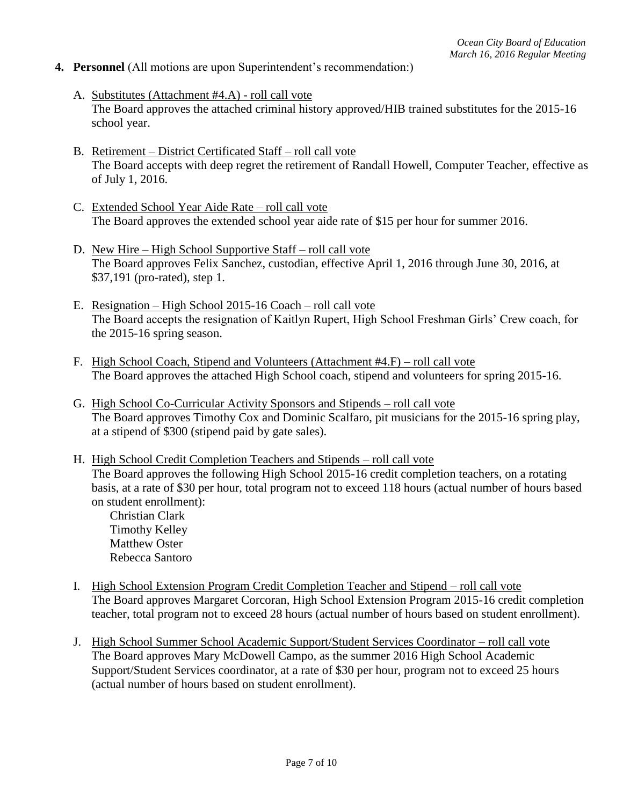## **4. Personnel** (All motions are upon Superintendent's recommendation:)

- A. Substitutes (Attachment #4.A) roll call vote The Board approves the attached criminal history approved/HIB trained substitutes for the 2015-16 school year.
- B. Retirement District Certificated Staff roll call vote The Board accepts with deep regret the retirement of Randall Howell, Computer Teacher, effective as of July 1, 2016.
- C. Extended School Year Aide Rate roll call vote The Board approves the extended school year aide rate of \$15 per hour for summer 2016.
- D. New Hire High School Supportive Staff roll call vote The Board approves Felix Sanchez, custodian, effective April 1, 2016 through June 30, 2016, at \$37,191 (pro-rated), step 1.
- E. Resignation High School 2015-16 Coach roll call vote The Board accepts the resignation of Kaitlyn Rupert, High School Freshman Girls' Crew coach, for the 2015-16 spring season.
- F. High School Coach, Stipend and Volunteers (Attachment #4.F) roll call vote The Board approves the attached High School coach, stipend and volunteers for spring 2015-16.
- G. High School Co-Curricular Activity Sponsors and Stipends roll call vote The Board approves Timothy Cox and Dominic Scalfaro, pit musicians for the 2015-16 spring play, at a stipend of \$300 (stipend paid by gate sales).
- H. High School Credit Completion Teachers and Stipends roll call vote The Board approves the following High School 2015-16 credit completion teachers, on a rotating basis, at a rate of \$30 per hour, total program not to exceed 118 hours (actual number of hours based on student enrollment):

Christian Clark Timothy Kelley Matthew Oster Rebecca Santoro

- I. High School Extension Program Credit Completion Teacher and Stipend roll call vote The Board approves Margaret Corcoran, High School Extension Program 2015-16 credit completion teacher, total program not to exceed 28 hours (actual number of hours based on student enrollment).
- J. High School Summer School Academic Support/Student Services Coordinator roll call vote The Board approves Mary McDowell Campo, as the summer 2016 High School Academic Support/Student Services coordinator, at a rate of \$30 per hour, program not to exceed 25 hours (actual number of hours based on student enrollment).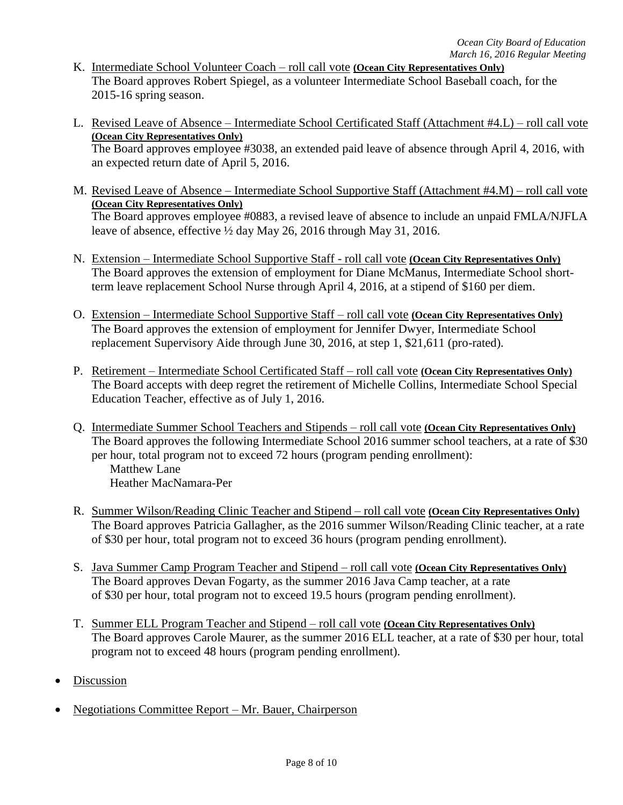- K. Intermediate School Volunteer Coach roll call vote **(Ocean City Representatives Only)** The Board approves Robert Spiegel, as a volunteer Intermediate School Baseball coach, for the 2015-16 spring season.
- L. Revised Leave of Absence Intermediate School Certificated Staff (Attachment #4.L) roll call vote **(Ocean City Representatives Only)** The Board approves employee #3038, an extended paid leave of absence through April 4, 2016, with an expected return date of April 5, 2016.
- M. Revised Leave of Absence Intermediate School Supportive Staff (Attachment #4.M) roll call vote **(Ocean City Representatives Only)** The Board approves employee #0883, a revised leave of absence to include an unpaid FMLA/NJFLA leave of absence, effective ½ day May 26, 2016 through May 31, 2016.
- N. Extension Intermediate School Supportive Staff roll call vote **(Ocean City Representatives Only)** The Board approves the extension of employment for Diane McManus, Intermediate School shortterm leave replacement School Nurse through April 4, 2016, at a stipend of \$160 per diem.
- O. Extension Intermediate School Supportive Staff roll call vote **(Ocean City Representatives Only)** The Board approves the extension of employment for Jennifer Dwyer, Intermediate School replacement Supervisory Aide through June 30, 2016, at step 1, \$21,611 (pro-rated).
- P. Retirement Intermediate School Certificated Staff roll call vote **(Ocean City Representatives Only)** The Board accepts with deep regret the retirement of Michelle Collins, Intermediate School Special Education Teacher, effective as of July 1, 2016.
- Q. Intermediate Summer School Teachers and Stipends roll call vote **(Ocean City Representatives Only)** The Board approves the following Intermediate School 2016 summer school teachers, at a rate of \$30 per hour, total program not to exceed 72 hours (program pending enrollment): Matthew Lane Heather MacNamara-Per
- R. Summer Wilson/Reading Clinic Teacher and Stipend roll call vote **(Ocean City Representatives Only)** The Board approves Patricia Gallagher, as the 2016 summer Wilson/Reading Clinic teacher, at a rate of \$30 per hour, total program not to exceed 36 hours (program pending enrollment).
- S. Java Summer Camp Program Teacher and Stipend roll call vote **(Ocean City Representatives Only)** The Board approves Devan Fogarty, as the summer 2016 Java Camp teacher, at a rate of \$30 per hour, total program not to exceed 19.5 hours (program pending enrollment).
- T. Summer ELL Program Teacher and Stipend roll call vote **(Ocean City Representatives Only)** The Board approves Carole Maurer, as the summer 2016 ELL teacher, at a rate of \$30 per hour, total program not to exceed 48 hours (program pending enrollment).
- Discussion
- Negotiations Committee Report Mr. Bauer, Chairperson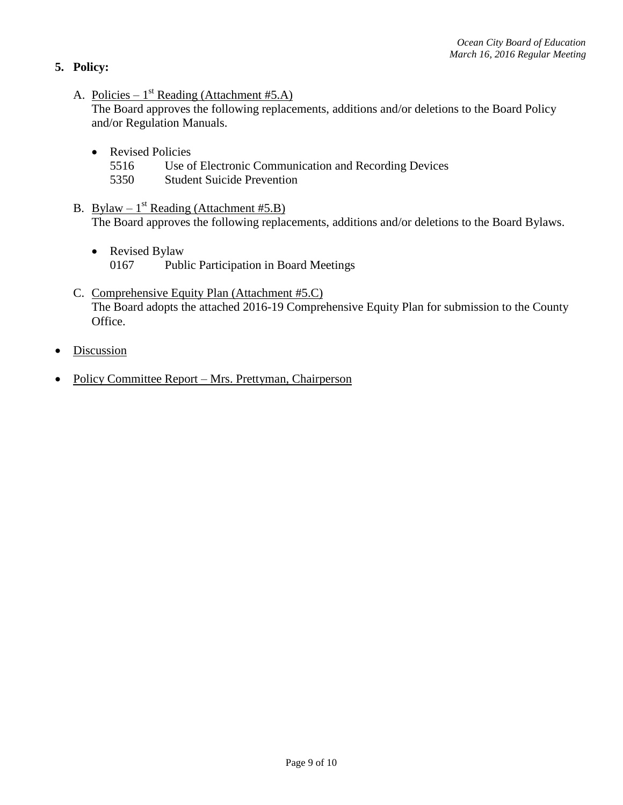- **5. Policy:** 
	- A. Policies  $1^{st}$  Reading (Attachment #5.A)

The Board approves the following replacements, additions and/or deletions to the Board Policy and/or Regulation Manuals.

- Revised Policies
	- 5516 Use of Electronic Communication and Recording Devices
	- 5350 Student Suicide Prevention
- B. Bylaw  $1^{st}$  Reading (Attachment #5.B) The Board approves the following replacements, additions and/or deletions to the Board Bylaws.
	- Revised Bylaw 0167 Public Participation in Board Meetings
- C. Comprehensive Equity Plan (Attachment #5.C) The Board adopts the attached 2016-19 Comprehensive Equity Plan for submission to the County Office.
- **Discussion**
- Policy Committee Report Mrs. Prettyman, Chairperson